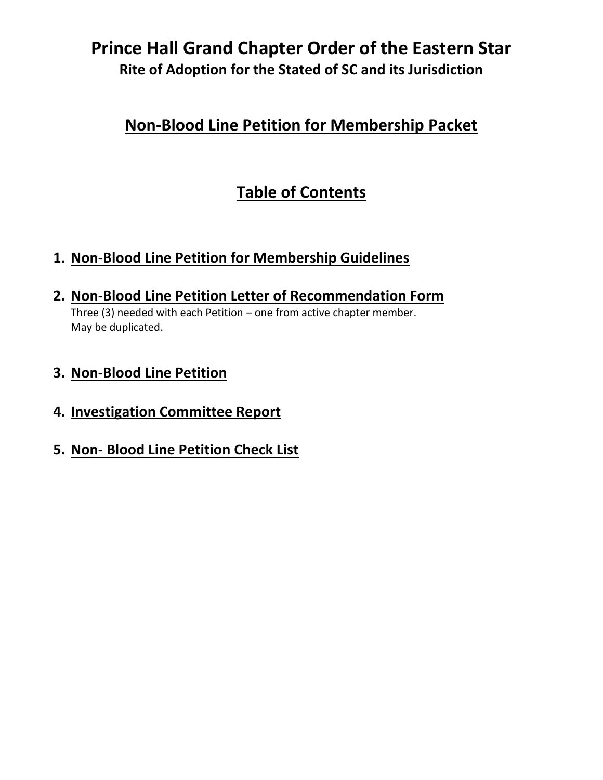### **Non-Blood Line Petition for Membership Packet**

# **Table of Contents**

#### **1. Non-Blood Line Petition for Membership Guidelines**

**2. Non-Blood Line Petition Letter of Recommendation Form**

Three (3) needed with each Petition – one from active chapter member. May be duplicated.

#### **3. Non-Blood Line Petition**

- **4. Investigation Committee Report**
- **5. Non- Blood Line Petition Check List**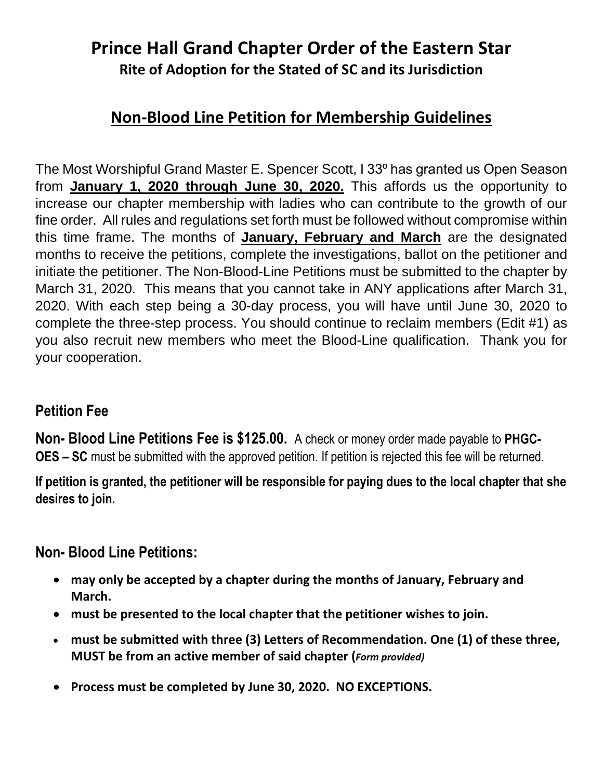### **Non-Blood Line Petition for Membership Guidelines**

The Most Worshipful Grand Master E. Spencer Scott, I 33<sup>°</sup> has granted us Open Season from **January 1, 2020 through June 30, 2020.** This affords us the opportunity to increase our chapter membership with ladies who can contribute to the growth of our fine order. All rules and regulations set forth must be followed without compromise within this time frame. The months of **January, February and March** are the designated months to receive the petitions, complete the investigations, ballot on the petitioner and initiate the petitioner. The Non-Blood-Line Petitions must be submitted to the chapter by March 31, 2020. This means that you cannot take in ANY applications after March 31, 2020. With each step being a 30-day process, you will have until June 30, 2020 to complete the three-step process. You should continue to reclaim members (Edit #1) as you also recruit new members who meet the Blood-Line qualification. Thank you for your cooperation.

#### **Petition Fee**

**Non- Blood Line Petitions Fee is \$125.00.** A check or money order made payable to **PHGC-OES – SC** must be submitted with the approved petition. If petition is rejected this fee will be returned.

**If petition is granted, the petitioner will be responsible for paying dues to the local chapter that she desires to join.** 

#### **Non- Blood Line Petitions:**

- **may only be accepted by a chapter during the months of January, February and March.**
- **must be presented to the local chapter that the petitioner wishes to join.**
- **must be submitted with three (3) Letters of Recommendation. One (1) of these three, MUST be from an active member of said chapter (***Form provided)*
- **Process must be completed by June 30, 2020. NO EXCEPTIONS.**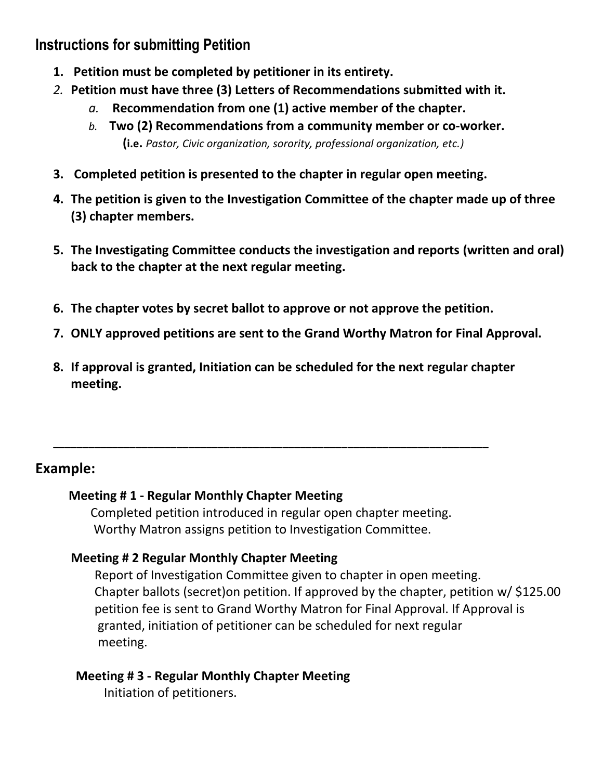#### **Instructions for submitting Petition**

- **1. Petition must be completed by petitioner in its entirety.**
- *2.* **Petition must have three (3) Letters of Recommendations submitted with it.** 
	- *a.* **Recommendation from one (1) active member of the chapter.**
	- *b.* **Two (2) Recommendations from a community member or co-worker. (i.e.** *Pastor, Civic organization, sorority, professional organization, etc.)*
- **3. Completed petition is presented to the chapter in regular open meeting.**
- **4. The petition is given to the Investigation Committee of the chapter made up of three (3) chapter members.**
- **5. The Investigating Committee conducts the investigation and reports (written and oral) back to the chapter at the next regular meeting.**
- **6. The chapter votes by secret ballot to approve or not approve the petition.**
- **7. ONLY approved petitions are sent to the Grand Worthy Matron for Final Approval.**
- **8. If approval is granted, Initiation can be scheduled for the next regular chapter meeting.**

#### **Example:**

#### **Meeting # 1 - Regular Monthly Chapter Meeting**

Completed petition introduced in regular open chapter meeting. Worthy Matron assigns petition to Investigation Committee.

**\_\_\_\_\_\_\_\_\_\_\_\_\_\_\_\_\_\_\_\_\_\_\_\_\_\_\_\_\_\_\_\_\_\_\_\_\_\_\_\_\_\_\_\_\_\_\_\_\_\_\_\_\_\_\_\_\_\_\_\_\_\_\_\_\_\_\_\_\_\_\_\_\_\_**

#### **Meeting # 2 Regular Monthly Chapter Meeting**

Report of Investigation Committee given to chapter in open meeting. Chapter ballots (secret)on petition. If approved by the chapter, petition w/ \$125.00 petition fee is sent to Grand Worthy Matron for Final Approval. If Approval is granted, initiation of petitioner can be scheduled for next regular meeting.

#### **Meeting # 3 - Regular Monthly Chapter Meeting**

Initiation of petitioners.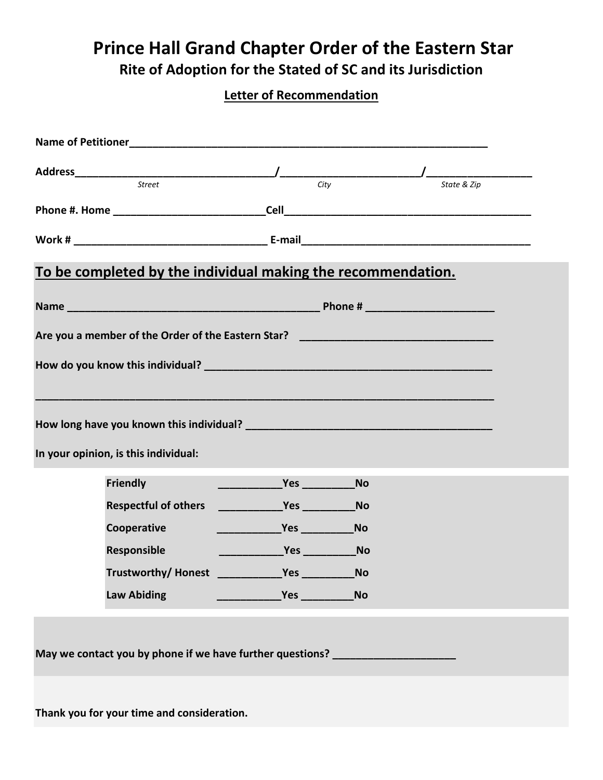# **Prince Hall Grand Chapter Order of the Eastern Star**

**Rite of Adoption for the Stated of SC and its Jurisdiction**

#### **Letter of Recommendation**

| Street<br>City<br>State & Zip                                                                                                                                                                                                                       |  |
|-----------------------------------------------------------------------------------------------------------------------------------------------------------------------------------------------------------------------------------------------------|--|
|                                                                                                                                                                                                                                                     |  |
|                                                                                                                                                                                                                                                     |  |
| To be completed by the individual making the recommendation.                                                                                                                                                                                        |  |
|                                                                                                                                                                                                                                                     |  |
| Are you a member of the Order of the Eastern Star? ______________________________                                                                                                                                                                   |  |
|                                                                                                                                                                                                                                                     |  |
|                                                                                                                                                                                                                                                     |  |
|                                                                                                                                                                                                                                                     |  |
|                                                                                                                                                                                                                                                     |  |
| In your opinion, is this individual:                                                                                                                                                                                                                |  |
| Friendly                                                                                                                                                                                                                                            |  |
|                                                                                                                                                                                                                                                     |  |
| <b>Respectful of others</b>                                                                                                                                                                                                                         |  |
| Cooperative                                                                                                                                                                                                                                         |  |
| <u>No and the Second Second Second Second Second Second Second Second Second Second Second Second Second Second Second Second Second Second Second Second Second Second Second Second Second Second Second Second Second Second </u><br>Responsible |  |
| <b>No</b>                                                                                                                                                                                                                                           |  |
| <b>Law Abiding</b><br><b>No</b>                                                                                                                                                                                                                     |  |
|                                                                                                                                                                                                                                                     |  |
| May we contact you by phone if we have further questions? _________________                                                                                                                                                                         |  |
|                                                                                                                                                                                                                                                     |  |
|                                                                                                                                                                                                                                                     |  |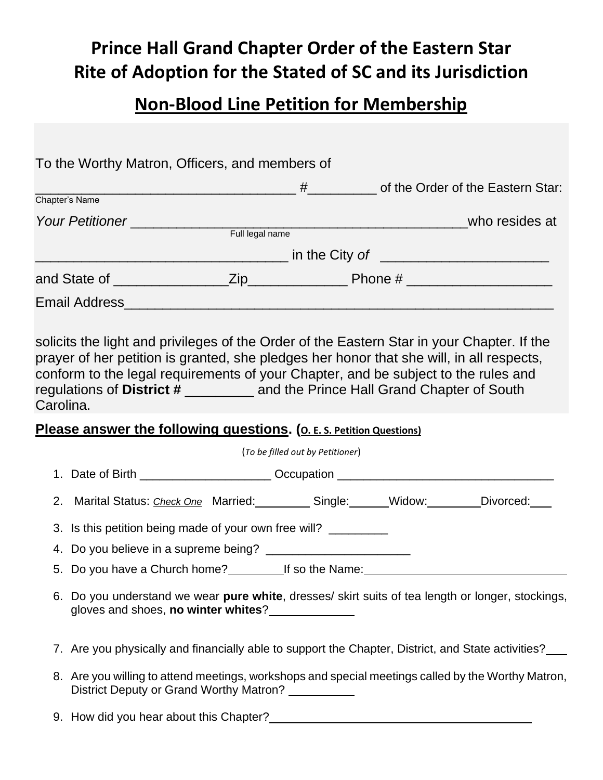# **Non-Blood Line Petition for Membership**

|                | To the Worthy Matron, Officers, and members of                                                                                                                                                                                                                                                                                                                    |                                  |                                |
|----------------|-------------------------------------------------------------------------------------------------------------------------------------------------------------------------------------------------------------------------------------------------------------------------------------------------------------------------------------------------------------------|----------------------------------|--------------------------------|
|                |                                                                                                                                                                                                                                                                                                                                                                   |                                  | The Order of the Eastern Star: |
| Chapter's Name |                                                                                                                                                                                                                                                                                                                                                                   |                                  |                                |
|                |                                                                                                                                                                                                                                                                                                                                                                   |                                  |                                |
|                |                                                                                                                                                                                                                                                                                                                                                                   |                                  |                                |
|                |                                                                                                                                                                                                                                                                                                                                                                   |                                  |                                |
|                |                                                                                                                                                                                                                                                                                                                                                                   |                                  |                                |
|                |                                                                                                                                                                                                                                                                                                                                                                   |                                  |                                |
| Carolina.      | solicits the light and privileges of the Order of the Eastern Star in your Chapter. If the<br>prayer of her petition is granted, she pledges her honor that she will, in all respects,<br>conform to the legal requirements of your Chapter, and be subject to the rules and<br>regulations of District # ____________ and the Prince Hall Grand Chapter of South |                                  |                                |
|                | Please answer the following questions. (O. E. S. Petition Questions)                                                                                                                                                                                                                                                                                              |                                  |                                |
|                |                                                                                                                                                                                                                                                                                                                                                                   | (To be filled out by Petitioner) |                                |
|                | 1. Date of Birth _______________________Occupation _____________________________                                                                                                                                                                                                                                                                                  |                                  |                                |
|                | 2. Marital Status: Check One Married: Single: Widow: Divorced:                                                                                                                                                                                                                                                                                                    |                                  |                                |
|                | 3. Is this petition being made of your own free will?                                                                                                                                                                                                                                                                                                             |                                  |                                |
|                |                                                                                                                                                                                                                                                                                                                                                                   |                                  |                                |
|                | 5. Do you have a Church home? If so the Name:                                                                                                                                                                                                                                                                                                                     |                                  |                                |
|                | 6. Do you understand we wear pure white, dresses/ skirt suits of tea length or longer, stockings,<br>gloves and shoes, no winter whites?<br><u> </u>                                                                                                                                                                                                              |                                  |                                |
|                | 7. Are you physically and financially able to support the Chapter, District, and State activities?                                                                                                                                                                                                                                                                |                                  |                                |
|                | 8. Are you willing to attend meetings, workshops and special meetings called by the Worthy Matron,<br>District Deputy or Grand Worthy Matron? __________                                                                                                                                                                                                          |                                  |                                |
|                |                                                                                                                                                                                                                                                                                                                                                                   |                                  |                                |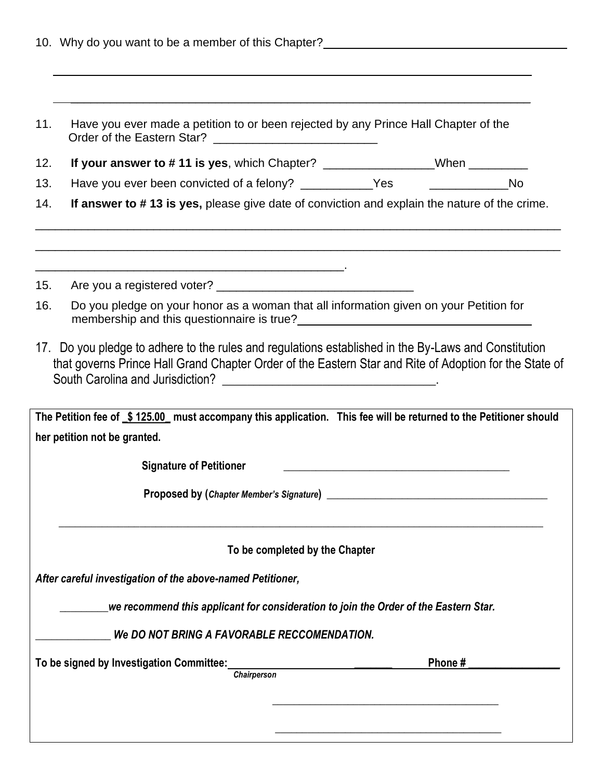|     | 10. Why do you want to be a member of this Chapter?                                                                                                                                                            |        |  |
|-----|----------------------------------------------------------------------------------------------------------------------------------------------------------------------------------------------------------------|--------|--|
|     |                                                                                                                                                                                                                |        |  |
| 11. | Have you ever made a petition to or been rejected by any Prince Hall Chapter of the                                                                                                                            |        |  |
| 12. | If your answer to #11 is yes, which Chapter? ________________When _________                                                                                                                                    |        |  |
| 13. | Have you ever been convicted of a felony? ____________Yes ___________________No                                                                                                                                |        |  |
| 14. | If answer to #13 is yes, please give date of conviction and explain the nature of the crime.                                                                                                                   |        |  |
| 15. | Are you a registered voter?                                                                                                                                                                                    |        |  |
| 16. | Do you pledge on your honor as a woman that all information given on your Petition for<br>membership and this questionnaire is true?<br><u>Letting and this questionnaire is true?</u>                         |        |  |
|     | 17. Do you pledge to adhere to the rules and regulations established in the By-Laws and Constitution<br>that governs Prince Hall Grand Chapter Order of the Eastern Star and Rite of Adoption for the State of |        |  |
|     | The Petition fee of \$125.00 must accompany this application. This fee will be returned to the Petitioner should<br>her petition not be granted.                                                               |        |  |
|     | <b>Signature of Petitioner</b>                                                                                                                                                                                 |        |  |
|     |                                                                                                                                                                                                                |        |  |
|     | To be completed by the Chapter                                                                                                                                                                                 |        |  |
|     | After careful investigation of the above-named Petitioner,                                                                                                                                                     |        |  |
|     | we recommend this applicant for consideration to join the Order of the Eastern Star.                                                                                                                           |        |  |
|     | We DO NOT BRING A FAVORABLE RECCOMENDATION.                                                                                                                                                                    |        |  |
|     | To be signed by Investigation Committee:                                                                                                                                                                       | Phone# |  |
|     | <b>Chairperson</b>                                                                                                                                                                                             |        |  |
|     |                                                                                                                                                                                                                |        |  |
|     |                                                                                                                                                                                                                |        |  |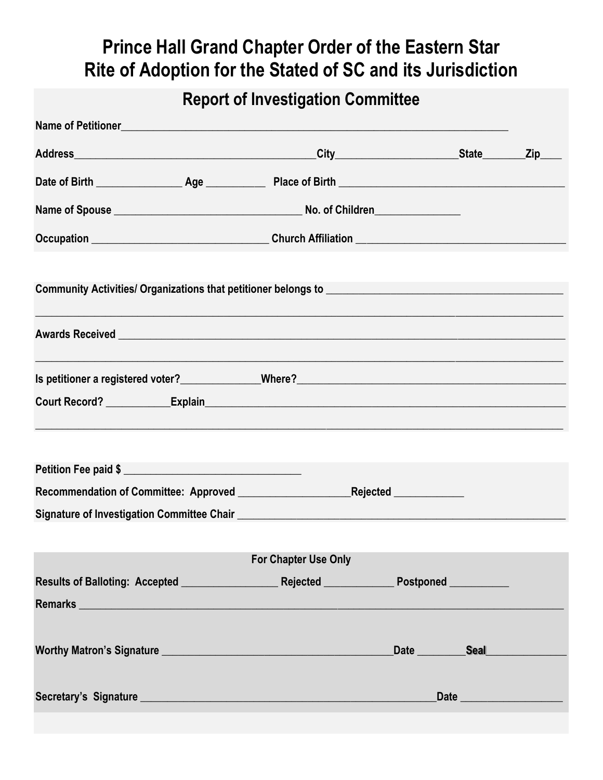## **Report of Investigation Committee**

| Name of Petitioner and the contract of the contract of the contract of the contract of the contract of the contract of the contract of the contract of the contract of the contract of the contract of the contract of the con       |                             |                                    |                  |  |
|--------------------------------------------------------------------------------------------------------------------------------------------------------------------------------------------------------------------------------------|-----------------------------|------------------------------------|------------------|--|
|                                                                                                                                                                                                                                      |                             |                                    |                  |  |
|                                                                                                                                                                                                                                      |                             |                                    |                  |  |
|                                                                                                                                                                                                                                      |                             |                                    |                  |  |
| Occupation __________________________________Church Affiliation ________________                                                                                                                                                     |                             |                                    |                  |  |
|                                                                                                                                                                                                                                      |                             |                                    |                  |  |
| Awards Received <b>contract and the contract of the contract of the contract of the contract of the contract of the contract of the contract of the contract of the contract of the contract of the contract of the contract of </b> |                             |                                    |                  |  |
|                                                                                                                                                                                                                                      |                             |                                    |                  |  |
|                                                                                                                                                                                                                                      |                             |                                    |                  |  |
|                                                                                                                                                                                                                                      |                             |                                    |                  |  |
| Petition Fee paid \$                                                                                                                                                                                                                 |                             |                                    |                  |  |
|                                                                                                                                                                                                                                      |                             |                                    |                  |  |
|                                                                                                                                                                                                                                      |                             |                                    |                  |  |
|                                                                                                                                                                                                                                      | <b>For Chapter Use Only</b> |                                    |                  |  |
|                                                                                                                                                                                                                                      |                             |                                    |                  |  |
| Remarks <b>No. 2018 Remarks Remarks Remarks Remarks Remarks Remarks Remarks Remarks Remarks Remarks Remarks Remarks Remarks Remarks Remarks Remarks Remarks Remarks Remarks Remarks Re</b>                                           |                             |                                    |                  |  |
|                                                                                                                                                                                                                                      |                             | _Date __________Seal______________ |                  |  |
|                                                                                                                                                                                                                                      |                             |                                    | Date <b>Date</b> |  |